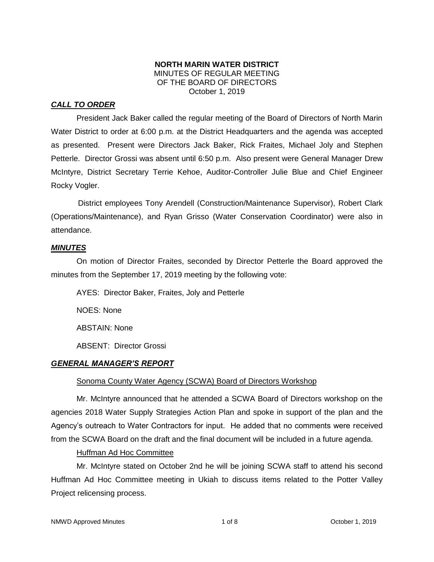#### **NORTH MARIN WATER DISTRICT** MINUTES OF REGULAR MEETING OF THE BOARD OF DIRECTORS October 1, 2019

### *CALL TO ORDER*

President Jack Baker called the regular meeting of the Board of Directors of North Marin Water District to order at 6:00 p.m. at the District Headquarters and the agenda was accepted as presented. Present were Directors Jack Baker, Rick Fraites, Michael Joly and Stephen Petterle. Director Grossi was absent until 6:50 p.m. Also present were General Manager Drew McIntyre, District Secretary Terrie Kehoe, Auditor-Controller Julie Blue and Chief Engineer Rocky Vogler.

District employees Tony Arendell (Construction/Maintenance Supervisor), Robert Clark (Operations/Maintenance), and Ryan Grisso (Water Conservation Coordinator) were also in attendance.

#### *MINUTES*

On motion of Director Fraites, seconded by Director Petterle the Board approved the minutes from the September 17, 2019 meeting by the following vote:

AYES: Director Baker, Fraites, Joly and Petterle NOES: None ABSTAIN: None ABSENT: Director Grossi

#### *GENERAL MANAGER'S REPORT*

#### Sonoma County Water Agency (SCWA) Board of Directors Workshop

Mr. McIntyre announced that he attended a SCWA Board of Directors workshop on the agencies 2018 Water Supply Strategies Action Plan and spoke in support of the plan and the Agency's outreach to Water Contractors for input. He added that no comments were received from the SCWA Board on the draft and the final document will be included in a future agenda.

Huffman Ad Hoc Committee

Mr. McIntyre stated on October 2nd he will be joining SCWA staff to attend his second Huffman Ad Hoc Committee meeting in Ukiah to discuss items related to the Potter Valley Project relicensing process.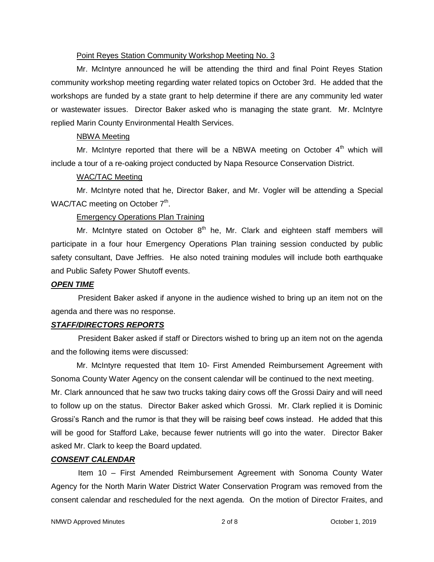#### Point Reyes Station Community Workshop Meeting No. 3

Mr. McIntyre announced he will be attending the third and final Point Reyes Station community workshop meeting regarding water related topics on October 3rd. He added that the workshops are funded by a state grant to help determine if there are any community led water or wastewater issues. Director Baker asked who is managing the state grant. Mr. McIntyre replied Marin County Environmental Health Services.

#### NBWA Meeting

Mr. McIntyre reported that there will be a NBWA meeting on October  $4<sup>th</sup>$  which will include a tour of a re-oaking project conducted by Napa Resource Conservation District.

#### WAC/TAC Meeting

Mr. McIntyre noted that he, Director Baker, and Mr. Vogler will be attending a Special WAC/TAC meeting on October 7<sup>th</sup>.

### Emergency Operations Plan Training

Mr. McIntyre stated on October  $8<sup>th</sup>$  he, Mr. Clark and eighteen staff members will participate in a four hour Emergency Operations Plan training session conducted by public safety consultant, Dave Jeffries. He also noted training modules will include both earthquake and Public Safety Power Shutoff events.

#### *OPEN TIME*

President Baker asked if anyone in the audience wished to bring up an item not on the agenda and there was no response.

#### *STAFF/DIRECTORS REPORTS*

President Baker asked if staff or Directors wished to bring up an item not on the agenda and the following items were discussed:

Mr. McIntyre requested that Item 10- First Amended Reimbursement Agreement with Sonoma County Water Agency on the consent calendar will be continued to the next meeting. Mr. Clark announced that he saw two trucks taking dairy cows off the Grossi Dairy and will need to follow up on the status. Director Baker asked which Grossi. Mr. Clark replied it is Dominic Grossi's Ranch and the rumor is that they will be raising beef cows instead. He added that this will be good for Stafford Lake, because fewer nutrients will go into the water. Director Baker asked Mr. Clark to keep the Board updated.

#### *CONSENT CALENDAR*

Item 10 – First Amended Reimbursement Agreement with Sonoma County Water Agency for the North Marin Water District Water Conservation Program was removed from the consent calendar and rescheduled for the next agenda. On the motion of Director Fraites, and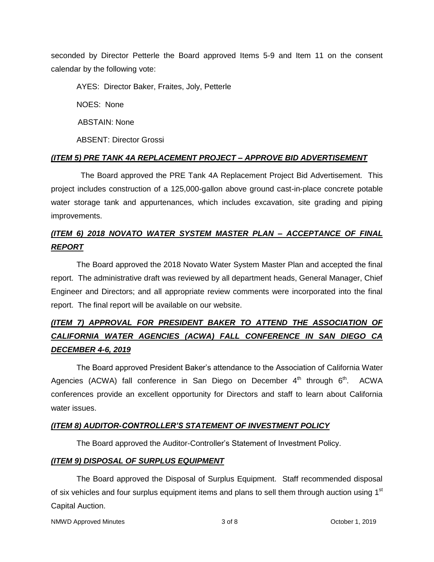seconded by Director Petterle the Board approved Items 5-9 and Item 11 on the consent calendar by the following vote:

AYES: Director Baker, Fraites, Joly, Petterle

NOES: None

ABSTAIN: None

ABSENT: Director Grossi

## *(ITEM 5) PRE TANK 4A REPLACEMENT PROJECT – APPROVE BID ADVERTISEMENT*

 The Board approved the PRE Tank 4A Replacement Project Bid Advertisement. This project includes construction of a 125,000-gallon above ground cast-in-place concrete potable water storage tank and appurtenances, which includes excavation, site grading and piping improvements.

## *(ITEM 6) 2018 NOVATO WATER SYSTEM MASTER PLAN – ACCEPTANCE OF FINAL REPORT*

The Board approved the 2018 Novato Water System Master Plan and accepted the final report. The administrative draft was reviewed by all department heads, General Manager, Chief Engineer and Directors; and all appropriate review comments were incorporated into the final report. The final report will be available on our website.

# *(ITEM 7) APPROVAL FOR PRESIDENT BAKER TO ATTEND THE ASSOCIATION OF CALIFORNIA WATER AGENCIES (ACWA) FALL CONFERENCE IN SAN DIEGO CA DECEMBER 4-6, 2019*

The Board approved President Baker's attendance to the Association of California Water Agencies (ACWA) fall conference in San Diego on December  $4<sup>th</sup>$  through  $6<sup>th</sup>$ . ACWA conferences provide an excellent opportunity for Directors and staff to learn about California water issues.

### *(ITEM 8) AUDITOR-CONTROLLER'S STATEMENT OF INVESTMENT POLICY*

The Board approved the Auditor-Controller's Statement of Investment Policy.

### *(ITEM 9) DISPOSAL OF SURPLUS EQUIPMENT*

The Board approved the Disposal of Surplus Equipment. Staff recommended disposal of six vehicles and four surplus equipment items and plans to sell them through auction using  $1<sup>st</sup>$ Capital Auction.

NMWD Approved Minutes and the state of  $\sim$  3 of 8 Corresponding Solution 2019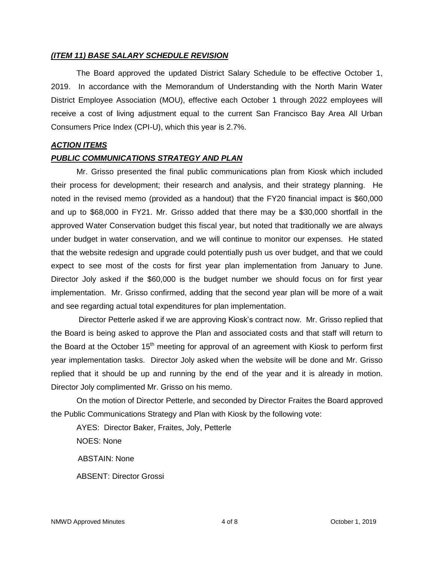#### *(ITEM 11) BASE SALARY SCHEDULE REVISION*

The Board approved the updated District Salary Schedule to be effective October 1, 2019. In accordance with the Memorandum of Understanding with the North Marin Water District Employee Association (MOU), effective each October 1 through 2022 employees will receive a cost of living adjustment equal to the current San Francisco Bay Area All Urban Consumers Price Index (CPI-U), which this year is 2.7%.

#### *ACTION ITEMS*

#### *PUBLIC COMMUNICATIONS STRATEGY AND PLAN*

Mr. Grisso presented the final public communications plan from Kiosk which included their process for development; their research and analysis, and their strategy planning. He noted in the revised memo (provided as a handout) that the FY20 financial impact is \$60,000 and up to \$68,000 in FY21. Mr. Grisso added that there may be a \$30,000 shortfall in the approved Water Conservation budget this fiscal year, but noted that traditionally we are always under budget in water conservation, and we will continue to monitor our expenses. He stated that the website redesign and upgrade could potentially push us over budget, and that we could expect to see most of the costs for first year plan implementation from January to June. Director Joly asked if the \$60,000 is the budget number we should focus on for first year implementation. Mr. Grisso confirmed, adding that the second year plan will be more of a wait and see regarding actual total expenditures for plan implementation.

Director Petterle asked if we are approving Kiosk's contract now. Mr. Grisso replied that the Board is being asked to approve the Plan and associated costs and that staff will return to the Board at the October  $15<sup>th</sup>$  meeting for approval of an agreement with Kiosk to perform first year implementation tasks. Director Joly asked when the website will be done and Mr. Grisso replied that it should be up and running by the end of the year and it is already in motion. Director Joly complimented Mr. Grisso on his memo.

On the motion of Director Petterle, and seconded by Director Fraites the Board approved the Public Communications Strategy and Plan with Kiosk by the following vote:

AYES: Director Baker, Fraites, Joly, Petterle NOES: None ABSTAIN: None ABSENT: Director Grossi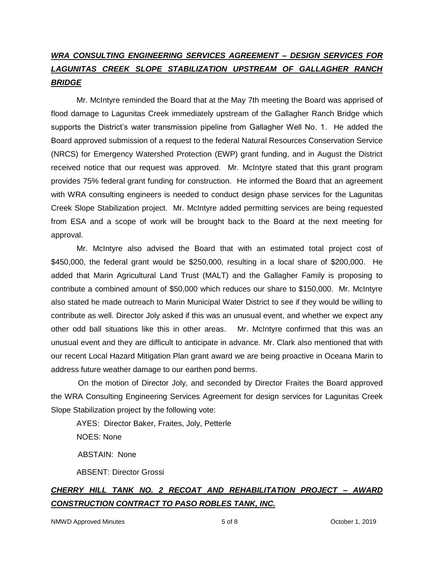# *WRA CONSULTING ENGINEERING SERVICES AGREEMENT – DESIGN SERVICES FOR LAGUNITAS CREEK SLOPE STABILIZATION UPSTREAM OF GALLAGHER RANCH BRIDGE*

Mr. McIntyre reminded the Board that at the May 7th meeting the Board was apprised of flood damage to Lagunitas Creek immediately upstream of the Gallagher Ranch Bridge which supports the District's water transmission pipeline from Gallagher Well No. 1. He added the Board approved submission of a request to the federal Natural Resources Conservation Service (NRCS) for Emergency Watershed Protection (EWP) grant funding, and in August the District received notice that our request was approved. Mr. McIntyre stated that this grant program provides 75% federal grant funding for construction. He informed the Board that an agreement with WRA consulting engineers is needed to conduct design phase services for the Lagunitas Creek Slope Stabilization project. Mr. McIntyre added permitting services are being requested from ESA and a scope of work will be brought back to the Board at the next meeting for approval.

Mr. McIntyre also advised the Board that with an estimated total project cost of \$450,000, the federal grant would be \$250,000, resulting in a local share of \$200,000. He added that Marin Agricultural Land Trust (MALT) and the Gallagher Family is proposing to contribute a combined amount of \$50,000 which reduces our share to \$150,000. Mr. McIntyre also stated he made outreach to Marin Municipal Water District to see if they would be willing to contribute as well. Director Joly asked if this was an unusual event, and whether we expect any other odd ball situations like this in other areas. Mr. McIntyre confirmed that this was an unusual event and they are difficult to anticipate in advance. Mr. Clark also mentioned that with our recent Local Hazard Mitigation Plan grant award we are being proactive in Oceana Marin to address future weather damage to our earthen pond berms.

On the motion of Director Joly, and seconded by Director Fraites the Board approved the WRA Consulting Engineering Services Agreement for design services for Lagunitas Creek Slope Stabilization project by the following vote:

AYES: Director Baker, Fraites, Joly, Petterle NOES: None ABSTAIN: None

ABSENT: Director Grossi

# *CHERRY HILL TANK NO. 2 RECOAT AND REHABILITATION PROJECT – AWARD CONSTRUCTION CONTRACT TO PASO ROBLES TANK, INC.*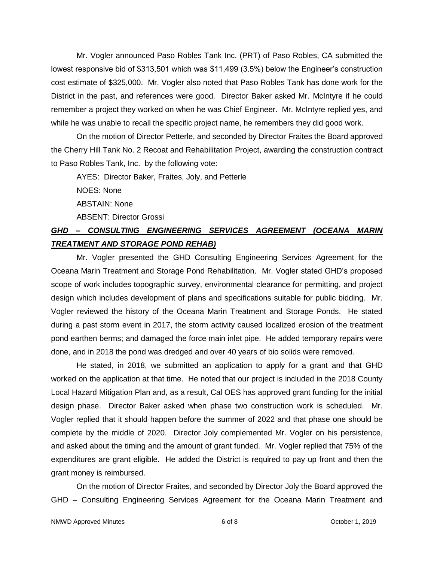Mr. Vogler announced Paso Robles Tank Inc. (PRT) of Paso Robles, CA submitted the lowest responsive bid of \$313,501 which was \$11,499 (3.5%) below the Engineer's construction cost estimate of \$325,000. Mr. Vogler also noted that Paso Robles Tank has done work for the District in the past, and references were good. Director Baker asked Mr. McIntyre if he could remember a project they worked on when he was Chief Engineer. Mr. McIntyre replied yes, and while he was unable to recall the specific project name, he remembers they did good work.

On the motion of Director Petterle, and seconded by Director Fraites the Board approved the Cherry Hill Tank No. 2 Recoat and Rehabilitation Project, awarding the construction contract to Paso Robles Tank, Inc. by the following vote:

AYES: Director Baker, Fraites, Joly, and Petterle

NOES: None

ABSTAIN: None

ABSENT: Director Grossi

## *GHD – CONSULTING ENGINEERING SERVICES AGREEMENT (OCEANA MARIN TREATMENT AND STORAGE POND REHAB)*

Mr. Vogler presented the GHD Consulting Engineering Services Agreement for the Oceana Marin Treatment and Storage Pond Rehabilitation. Mr. Vogler stated GHD's proposed scope of work includes topographic survey, environmental clearance for permitting, and project design which includes development of plans and specifications suitable for public bidding. Mr. Vogler reviewed the history of the Oceana Marin Treatment and Storage Ponds. He stated during a past storm event in 2017, the storm activity caused localized erosion of the treatment pond earthen berms; and damaged the force main inlet pipe. He added temporary repairs were done, and in 2018 the pond was dredged and over 40 years of bio solids were removed.

He stated, in 2018, we submitted an application to apply for a grant and that GHD worked on the application at that time. He noted that our project is included in the 2018 County Local Hazard Mitigation Plan and, as a result, Cal OES has approved grant funding for the initial design phase. Director Baker asked when phase two construction work is scheduled. Mr. Vogler replied that it should happen before the summer of 2022 and that phase one should be complete by the middle of 2020. Director Joly complemented Mr. Vogler on his persistence, and asked about the timing and the amount of grant funded. Mr. Vogler replied that 75% of the expenditures are grant eligible. He added the District is required to pay up front and then the grant money is reimbursed.

On the motion of Director Fraites, and seconded by Director Joly the Board approved the GHD – Consulting Engineering Services Agreement for the Oceana Marin Treatment and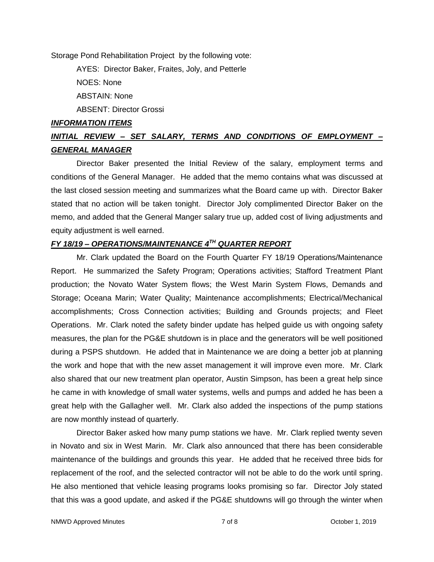Storage Pond Rehabilitation Project by the following vote:

AYES: Director Baker, Fraites, Joly, and Petterle NOES: None ABSTAIN: None ABSENT: Director Grossi

#### *INFORMATION ITEMS*

## *INITIAL REVIEW – SET SALARY, TERMS AND CONDITIONS OF EMPLOYMENT – GENERAL MANAGER*

Director Baker presented the Initial Review of the salary, employment terms and conditions of the General Manager. He added that the memo contains what was discussed at the last closed session meeting and summarizes what the Board came up with. Director Baker stated that no action will be taken tonight. Director Joly complimented Director Baker on the memo, and added that the General Manger salary true up, added cost of living adjustments and equity adjustment is well earned.

## *FY 18/19 – OPERATIONS/MAINTENANCE 4TH QUARTER REPORT*

Mr. Clark updated the Board on the Fourth Quarter FY 18/19 Operations/Maintenance Report. He summarized the Safety Program; Operations activities; Stafford Treatment Plant production; the Novato Water System flows; the West Marin System Flows, Demands and Storage; Oceana Marin; Water Quality; Maintenance accomplishments; Electrical/Mechanical accomplishments; Cross Connection activities; Building and Grounds projects; and Fleet Operations. Mr. Clark noted the safety binder update has helped guide us with ongoing safety measures, the plan for the PG&E shutdown is in place and the generators will be well positioned during a PSPS shutdown. He added that in Maintenance we are doing a better job at planning the work and hope that with the new asset management it will improve even more. Mr. Clark also shared that our new treatment plan operator, Austin Simpson, has been a great help since he came in with knowledge of small water systems, wells and pumps and added he has been a great help with the Gallagher well. Mr. Clark also added the inspections of the pump stations are now monthly instead of quarterly.

Director Baker asked how many pump stations we have. Mr. Clark replied twenty seven in Novato and six in West Marin. Mr. Clark also announced that there has been considerable maintenance of the buildings and grounds this year. He added that he received three bids for replacement of the roof, and the selected contractor will not be able to do the work until spring. He also mentioned that vehicle leasing programs looks promising so far. Director Joly stated that this was a good update, and asked if the PG&E shutdowns will go through the winter when